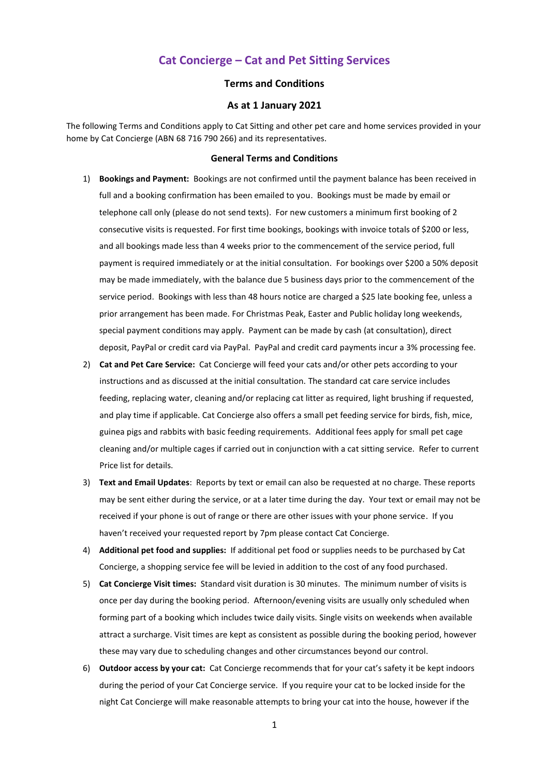# **Cat Concierge – Cat and Pet Sitting Services**

### **Terms and Conditions**

#### **As at 1 January 2021**

The following Terms and Conditions apply to Cat Sitting and other pet care and home services provided in your home by Cat Concierge (ABN 68 716 790 266) and its representatives.

#### **General Terms and Conditions**

- 1) **Bookings and Payment:** Bookings are not confirmed until the payment balance has been received in full and a booking confirmation has been emailed to you. Bookings must be made by email or telephone call only (please do not send texts). For new customers a minimum first booking of 2 consecutive visits is requested. For first time bookings, bookings with invoice totals of \$200 or less, and all bookings made less than 4 weeks prior to the commencement of the service period, full payment is required immediately or at the initial consultation. For bookings over \$200 a 50% deposit may be made immediately, with the balance due 5 business days prior to the commencement of the service period. Bookings with less than 48 hours notice are charged a \$25 late booking fee, unless a prior arrangement has been made. For Christmas Peak, Easter and Public holiday long weekends, special payment conditions may apply. Payment can be made by cash (at consultation), direct deposit, PayPal or credit card via PayPal. PayPal and credit card payments incur a 3% processing fee.
- 2) **Cat and Pet Care Service:** Cat Concierge will feed your cats and/or other pets according to your instructions and as discussed at the initial consultation. The standard cat care service includes feeding, replacing water, cleaning and/or replacing cat litter as required, light brushing if requested, and play time if applicable. Cat Concierge also offers a small pet feeding service for birds, fish, mice, guinea pigs and rabbits with basic feeding requirements. Additional fees apply for small pet cage cleaning and/or multiple cages if carried out in conjunction with a cat sitting service. Refer to current Price list for details.
- 3) **Text and Email Updates**: Reports by text or email can also be requested at no charge. These reports may be sent either during the service, or at a later time during the day. Your text or email may not be received if your phone is out of range or there are other issues with your phone service. If you haven't received your requested report by 7pm please contact Cat Concierge.
- 4) **Additional pet food and supplies:** If additional pet food or supplies needs to be purchased by Cat Concierge, a shopping service fee will be levied in addition to the cost of any food purchased.
- 5) **Cat Concierge Visit times:** Standard visit duration is 30 minutes. The minimum number of visits is once per day during the booking period. Afternoon/evening visits are usually only scheduled when forming part of a booking which includes twice daily visits. Single visits on weekends when available attract a surcharge. Visit times are kept as consistent as possible during the booking period, however these may vary due to scheduling changes and other circumstances beyond our control.
- 6) **Outdoor access by your cat:** Cat Concierge recommends that for your cat's safety it be kept indoors during the period of your Cat Concierge service. If you require your cat to be locked inside for the night Cat Concierge will make reasonable attempts to bring your cat into the house, however if the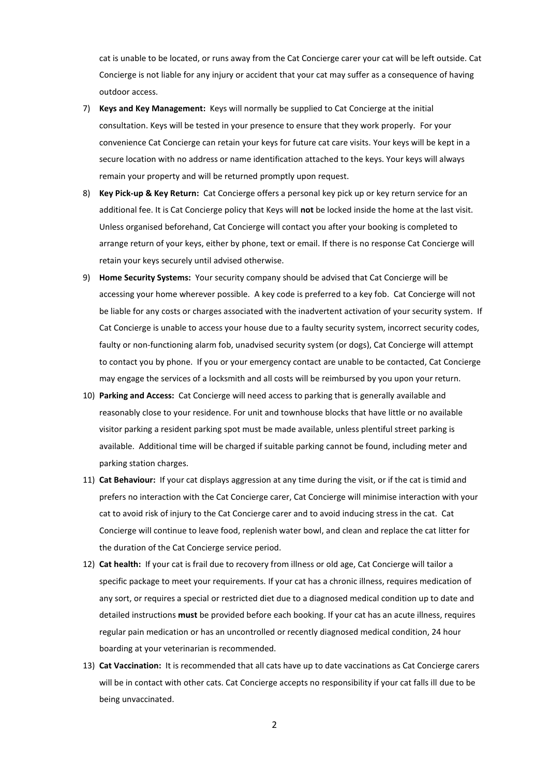cat is unable to be located, or runs away from the Cat Concierge carer your cat will be left outside. Cat Concierge is not liable for any injury or accident that your cat may suffer as a consequence of having outdoor access.

- 7) **Keys and Key Management:** Keys will normally be supplied to Cat Concierge at the initial consultation. Keys will be tested in your presence to ensure that they work properly. For your convenience Cat Concierge can retain your keys for future cat care visits. Your keys will be kept in a secure location with no address or name identification attached to the keys. Your keys will always remain your property and will be returned promptly upon request.
- 8) **Key Pick-up & Key Return:** Cat Concierge offers a personal key pick up or key return service for an additional fee. It is Cat Concierge policy that Keys will **not** be locked inside the home at the last visit. Unless organised beforehand, Cat Concierge will contact you after your booking is completed to arrange return of your keys, either by phone, text or email. If there is no response Cat Concierge will retain your keys securely until advised otherwise.
- 9) **Home Security Systems:** Your security company should be advised that Cat Concierge will be accessing your home wherever possible. A key code is preferred to a key fob. Cat Concierge will not be liable for any costs or charges associated with the inadvertent activation of your security system. If Cat Concierge is unable to access your house due to a faulty security system, incorrect security codes, faulty or non-functioning alarm fob, unadvised security system (or dogs), Cat Concierge will attempt to contact you by phone. If you or your emergency contact are unable to be contacted, Cat Concierge may engage the services of a locksmith and all costs will be reimbursed by you upon your return.
- 10) **Parking and Access:** Cat Concierge will need access to parking that is generally available and reasonably close to your residence. For unit and townhouse blocks that have little or no available visitor parking a resident parking spot must be made available, unless plentiful street parking is available. Additional time will be charged if suitable parking cannot be found, including meter and parking station charges.
- 11) **Cat Behaviour:** If your cat displays aggression at any time during the visit, or if the cat is timid and prefers no interaction with the Cat Concierge carer, Cat Concierge will minimise interaction with your cat to avoid risk of injury to the Cat Concierge carer and to avoid inducing stress in the cat. Cat Concierge will continue to leave food, replenish water bowl, and clean and replace the cat litter for the duration of the Cat Concierge service period.
- 12) **Cat health:** If your cat is frail due to recovery from illness or old age, Cat Concierge will tailor a specific package to meet your requirements. If your cat has a chronic illness, requires medication of any sort, or requires a special or restricted diet due to a diagnosed medical condition up to date and detailed instructions **must** be provided before each booking. If your cat has an acute illness, requires regular pain medication or has an uncontrolled or recently diagnosed medical condition, 24 hour boarding at your veterinarian is recommended.
- 13) **Cat Vaccination:** It is recommended that all cats have up to date vaccinations as Cat Concierge carers will be in contact with other cats. Cat Concierge accepts no responsibility if your cat falls ill due to be being unvaccinated.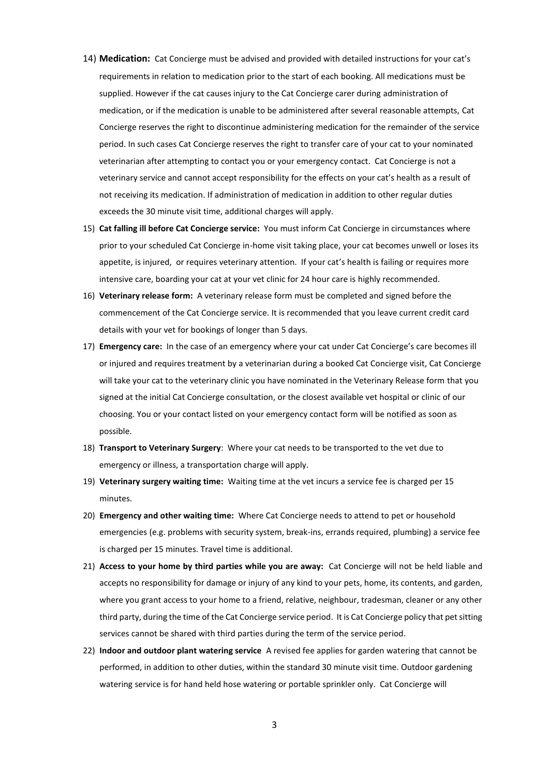- 14) **Medication:** Cat Concierge must be advised and provided with detailed instructions for your cat's requirements in relation to medication prior to the start of each booking. All medications must be supplied. However if the cat causes injury to the Cat Concierge carer during administration of medication, or if the medication is unable to be administered after several reasonable attempts, Cat Concierge reserves the right to discontinue administering medication for the remainder of the service period. In such cases Cat Concierge reserves the right to transfer care of your cat to your nominated veterinarian after attempting to contact you or your emergency contact. Cat Concierge is not a veterinary service and cannot accept responsibility for the effects on your cat's health as a result of not receiving its medication. If administration of medication in addition to other regular duties exceeds the 30 minute visit time, additional charges will apply.
- 15) **Cat falling ill before Cat Concierge service:** You must inform Cat Concierge in circumstances where prior to your scheduled Cat Concierge in-home visit taking place, your cat becomes unwell or loses its appetite, is injured, or requires veterinary attention. If your cat's health is failing or requires more intensive care, boarding your cat at your vet clinic for 24 hour care is highly recommended.
- 16) **Veterinary release form:** A veterinary release form must be completed and signed before the commencement of the Cat Concierge service. It is recommended that you leave current credit card details with your vet for bookings of longer than 5 days.
- 17) **Emergency care:** In the case of an emergency where your cat under Cat Concierge's care becomes ill or injured and requires treatment by a veterinarian during a booked Cat Concierge visit, Cat Concierge will take your cat to the veterinary clinic you have nominated in the Veterinary Release form that you signed at the initial Cat Concierge consultation, or the closest available vet hospital or clinic of our choosing. You or your contact listed on your emergency contact form will be notified as soon as possible.
- 18) **Transport to Veterinary Surgery**: Where your cat needs to be transported to the vet due to emergency or illness, a transportation charge will apply.
- 19) **Veterinary surgery waiting time:** Waiting time at the vet incurs a service fee is charged per 15 minutes.
- 20) **Emergency and other waiting time:** Where Cat Concierge needs to attend to pet or household emergencies (e.g. problems with security system, break-ins, errands required, plumbing) a service fee is charged per 15 minutes. Travel time is additional.
- 21) **Access to your home by third parties while you are away:** Cat Concierge will not be held liable and accepts no responsibility for damage or injury of any kind to your pets, home, its contents, and garden, where you grant access to your home to a friend, relative, neighbour, tradesman, cleaner or any other third party, during the time of the Cat Concierge service period. It is Cat Concierge policy that pet sitting services cannot be shared with third parties during the term of the service period.
- 22) **Indoor and outdoor plant watering service** A revised fee applies for garden watering that cannot be performed, in addition to other duties, within the standard 30 minute visit time. Outdoor gardening watering service is for hand held hose watering or portable sprinkler only. Cat Concierge will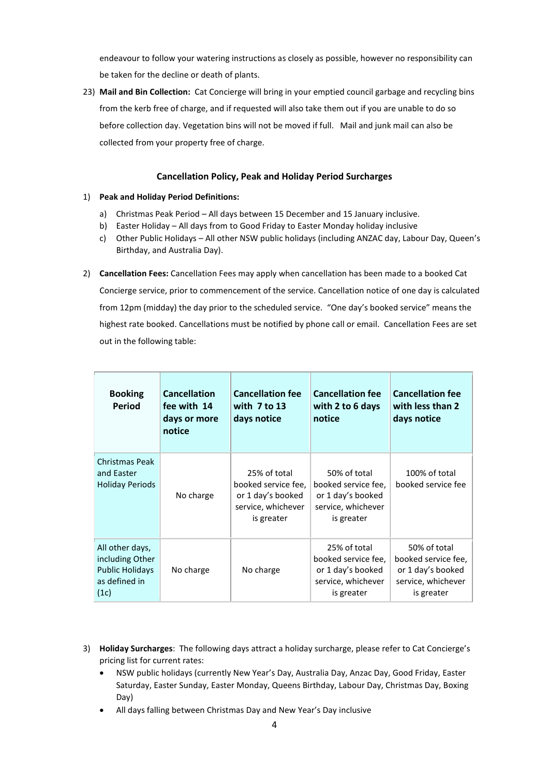endeavour to follow your watering instructions as closely as possible, however no responsibility can be taken for the decline or death of plants.

23) **Mail and Bin Collection:** Cat Concierge will bring in your emptied council garbage and recycling bins from the kerb free of charge, and if requested will also take them out if you are unable to do so before collection day. Vegetation bins will not be moved if full. Mail and junk mail can also be collected from your property free of charge.

### **Cancellation Policy, Peak and Holiday Period Surcharges**

#### 1) **Peak and Holiday Period Definitions:**

- a) Christmas Peak Period All days between 15 December and 15 January inclusive.
- b) Easter Holiday All days from to Good Friday to Easter Monday holiday inclusive
- c) Other Public Holidays All other NSW public holidays (including ANZAC day, Labour Day, Queen's Birthday, and Australia Day).
- 2) **Cancellation Fees:** Cancellation Fees may apply when cancellation has been made to a booked Cat Concierge service, prior to commencement of the service. Cancellation notice of one day is calculated from 12pm (midday) the day prior to the scheduled service. "One day's booked service" means the highest rate booked. Cancellations must be notified by phone call or email. Cancellation Fees are set out in the following table:

| <b>Booking</b><br>Period                                                              | <b>Cancellation</b><br>fee with 14<br>days or more<br>notice | <b>Cancellation fee</b><br>with $7$ to 13<br>days notice                                     | <b>Cancellation fee</b><br>with 2 to 6 days<br>notice                                        | <b>Cancellation fee</b><br>with less than 2<br>days notice                                   |
|---------------------------------------------------------------------------------------|--------------------------------------------------------------|----------------------------------------------------------------------------------------------|----------------------------------------------------------------------------------------------|----------------------------------------------------------------------------------------------|
| <b>Christmas Peak</b><br>and Easter<br><b>Holiday Periods</b>                         | No charge                                                    | 25% of total<br>booked service fee,<br>or 1 day's booked<br>service, whichever<br>is greater | 50% of total<br>booked service fee.<br>or 1 day's booked<br>service, whichever<br>is greater | 100% of total<br>booked service fee                                                          |
| All other days,<br>including Other<br><b>Public Holidays</b><br>as defined in<br>(1c) | No charge                                                    | No charge                                                                                    | 25% of total<br>booked service fee,<br>or 1 day's booked<br>service, whichever<br>is greater | 50% of total<br>booked service fee,<br>or 1 day's booked<br>service, whichever<br>is greater |

- 3) **Holiday Surcharges**: The following days attract a holiday surcharge, please refer to Cat Concierge's pricing list for current rates:
	- NSW public holidays (currently New Year's Day, Australia Day, Anzac Day, Good Friday, Easter Saturday, Easter Sunday, Easter Monday, Queens Birthday, Labour Day, Christmas Day, Boxing Day)
	- All days falling between Christmas Day and New Year's Day inclusive